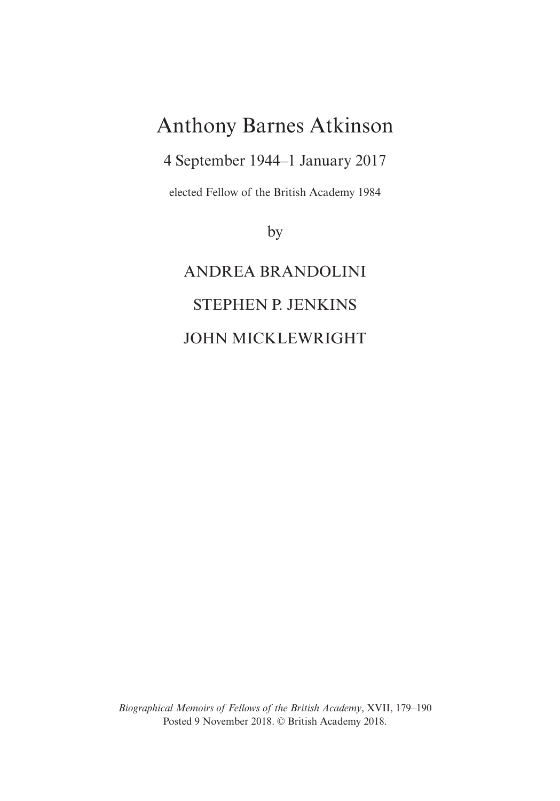## Anthony Barnes Atkinson

### 4 September 1944–1 January 2017

elected Fellow of the British Academy 1984

by

# ANDREA BRANDOLINI STEPHEN P. JENKINS JOHN MICKLEWRIGHT

*Biographical Memoirs of Fellows of the British Academy*, XVII, 179–190 Posted 9 November 2018. © British Academy 2018.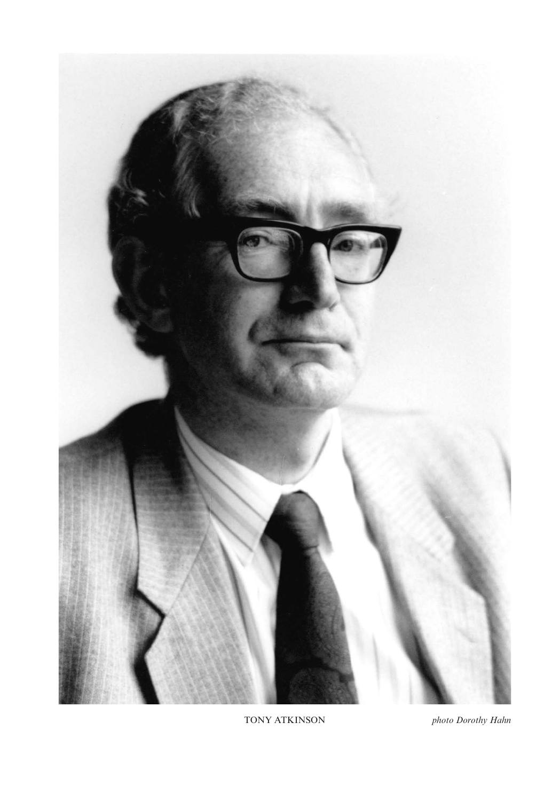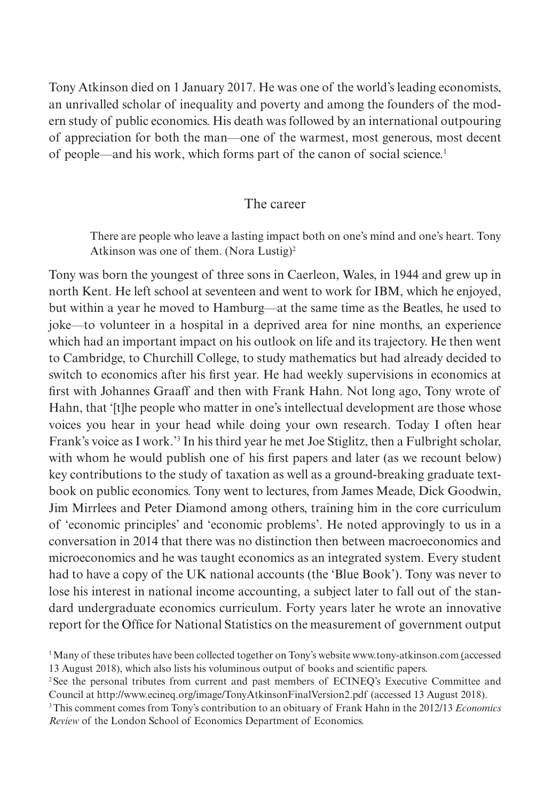Tony Atkinson died on 1 January 2017. He was one of the world's leading economists, an unrivalled scholar of inequality and poverty and among the founders of the modern study of public economics. His death was followed by an international outpouring of appreciation for both the man—one of the warmest, most generous, most decent of people—and his work, which forms part of the canon of social science.<sup>1</sup>

#### The career

There are people who leave a lasting impact both on one's mind and one's heart. Tony Atkinson was one of them. (Nora Lustig)<sup>2</sup>

Tony was born the youngest of three sons in Caerleon, Wales, in 1944 and grew up in north Kent. He left school at seventeen and went to work for IBM, which he enjoyed, but within a year he moved to Hamburg—at the same time as the Beatles, he used to joke—to volunteer in a hospital in a deprived area for nine months, an experience which had an important impact on his outlook on life and its trajectory. He then went to Cambridge, to Churchill College, to study mathematics but had already decided to switch to economics after his first year. He had weekly supervisions in economics at first with Johannes Graaff and then with Frank Hahn. Not long ago, Tony wrote of Hahn, that '[t]he people who matter in one's intellectual development are those whose voices you hear in your head while doing your own research. Today I often hear Frank's voice as I work.<sup>3</sup> In his third year he met Joe Stiglitz, then a Fulbright scholar, with whom he would publish one of his first papers and later (as we recount below) key contributions to the study of taxation as well as a ground-breaking graduate textbook on public economics. Tony went to lectures, from James Meade, Dick Goodwin, Jim Mirrlees and Peter Diamond among others, training him in the core curriculum of 'economic principles' and 'economic problems'. He noted approvingly to us in a conversation in 2014 that there was no distinction then between macroeconomics and microeconomics and he was taught economics as an integrated system. Every student had to have a copy of the UK national accounts (the 'Blue Book'). Tony was never to lose his interest in national income accounting, a subject later to fall out of the standard undergraduate economics curriculum. Forty years later he wrote an innovative report for the Office for National Statistics on the measurement of government output

<sup>1</sup>Many of these tributes have been collected together on Tony's website www.tony-atkinson.com (accessed 13 August 2018), which also lists his voluminous output of books and scientific papers.

<sup>2</sup>See the personal tributes from current and past members of ECINEQ's Executive Committee and Council at http://www.ecineq.org/image/TonyAtkinsonFinalVersion2.pdf (accessed 13 August 2018).

<sup>3</sup>This comment comes from Tony's contribution to an obituary of Frank Hahn in the 2012/13 *Economics Review* of the London School of Economics Department of Economics.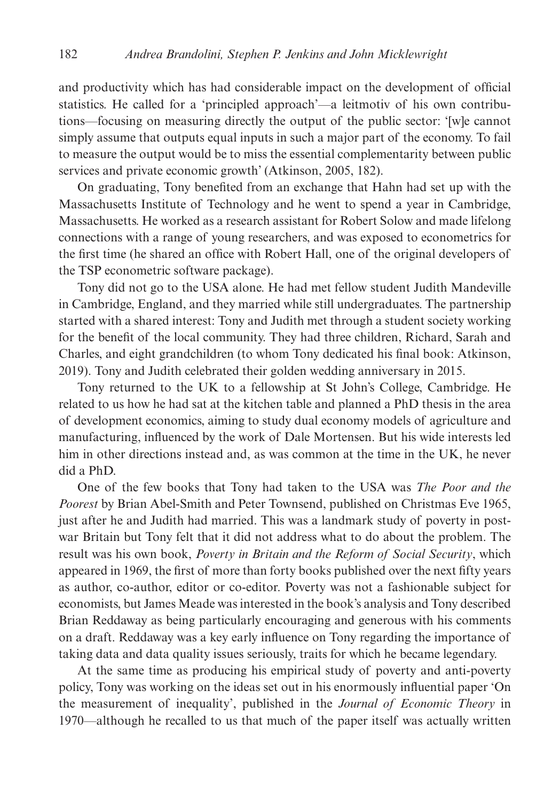and productivity which has had considerable impact on the development of official statistics. He called for a 'principled approach'—a leitmotiv of his own contributions—focusing on measuring directly the output of the public sector: '[w]e cannot simply assume that outputs equal inputs in such a major part of the economy. To fail to measure the output would be to miss the essential complementarity between public services and private economic growth' (Atkinson, 2005, 182).

On graduating, Tony benefited from an exchange that Hahn had set up with the Massachusetts Institute of Technology and he went to spend a year in Cambridge, Massachusetts. He worked as a research assistant for Robert Solow and made lifelong connections with a range of young researchers, and was exposed to econometrics for the first time (he shared an office with Robert Hall, one of the original developers of the TSP econometric software package).

Tony did not go to the USA alone. He had met fellow student Judith Mandeville in Cambridge, England, and they married while still undergraduates. The partnership started with a shared interest: Tony and Judith met through a student society working for the benefit of the local community. They had three children, Richard, Sarah and Charles, and eight grandchildren (to whom Tony dedicated his final book: Atkinson, 2019). Tony and Judith celebrated their golden wedding anniversary in 2015.

Tony returned to the UK to a fellowship at St John's College, Cambridge. He related to us how he had sat at the kitchen table and planned a PhD thesis in the area of development economics, aiming to study dual economy models of agriculture and manufacturing, influenced by the work of Dale Mortensen. But his wide interests led him in other directions instead and, as was common at the time in the UK, he never did a PhD.

One of the few books that Tony had taken to the USA was *The Poor and the Poorest* by Brian Abel-Smith and Peter Townsend, published on Christmas Eve 1965, just after he and Judith had married. This was a landmark study of poverty in postwar Britain but Tony felt that it did not address what to do about the problem. The result was his own book, *Poverty in Britain and the Reform of Social Security*, which appeared in 1969, the first of more than forty books published over the next fifty years as author, co-author, editor or co-editor. Poverty was not a fashionable subject for economists, but James Meade was interested in the book's analysis and Tony described Brian Reddaway as being particularly encouraging and generous with his comments on a draft. Reddaway was a key early influence on Tony regarding the importance of taking data and data quality issues seriously, traits for which he became legendary.

At the same time as producing his empirical study of poverty and anti-poverty policy, Tony was working on the ideas set out in his enormously influential paper 'On the measurement of inequality', published in the *Journal of Economic Theory* in 1970—although he recalled to us that much of the paper itself was actually written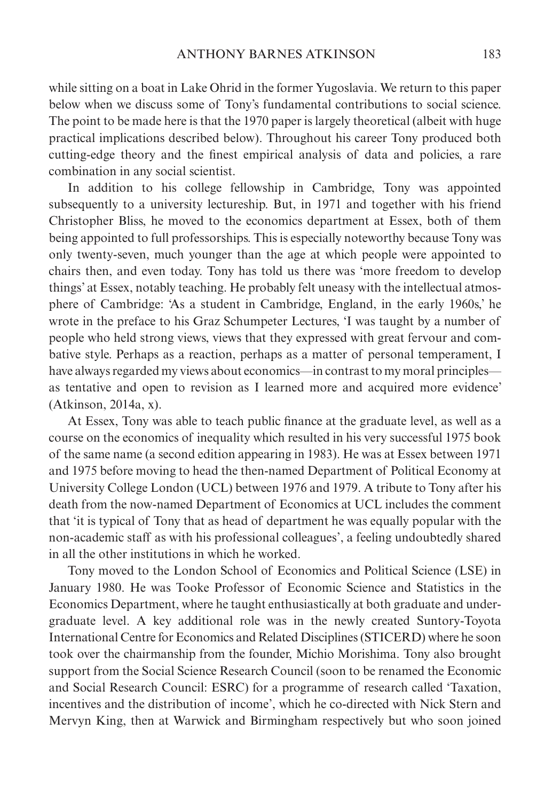while sitting on a boat in Lake Ohrid in the former Yugoslavia. We return to this paper below when we discuss some of Tony's fundamental contributions to social science. The point to be made here is that the 1970 paper is largely theoretical (albeit with huge practical implications described below). Throughout his career Tony produced both cutting-edge theory and the finest empirical analysis of data and policies, a rare combination in any social scientist.

In addition to his college fellowship in Cambridge, Tony was appointed subsequently to a university lectureship. But, in 1971 and together with his friend Christopher Bliss, he moved to the economics department at Essex, both of them being appointed to full professorships. This is especially noteworthy because Tony was only twenty-seven, much younger than the age at which people were appointed to chairs then, and even today. Tony has told us there was 'more freedom to develop things' at Essex, notably teaching. He probably felt uneasy with the intellectual atmosphere of Cambridge: 'As a student in Cambridge, England, in the early 1960s,' he wrote in the preface to his Graz Schumpeter Lectures, 'I was taught by a number of people who held strong views, views that they expressed with great fervour and combative style. Perhaps as a reaction, perhaps as a matter of personal temperament, I have always regarded my views about economics—in contrast to my moral principles as tentative and open to revision as I learned more and acquired more evidence' (Atkinson, 2014a, x).

At Essex, Tony was able to teach public finance at the graduate level, as well as a course on the economics of inequality which resulted in his very successful 1975 book of the same name (a second edition appearing in 1983). He was at Essex between 1971 and 1975 before moving to head the then-named Department of Political Economy at University College London (UCL) between 1976 and 1979. A tribute to Tony after his death from the now-named Department of Economics at UCL includes the comment that 'it is typical of Tony that as head of department he was equally popular with the non-academic staff as with his professional colleagues', a feeling undoubtedly shared in all the other institutions in which he worked.

Tony moved to the London School of Economics and Political Science (LSE) in January 1980. He was Tooke Professor of Economic Science and Statistics in the Economics Department, where he taught enthusiastically at both graduate and undergraduate level. A key additional role was in the newly created Suntory-Toyota International Centre for Economics and Related Disciplines (STICERD) where he soon took over the chairmanship from the founder, Michio Morishima. Tony also brought support from the Social Science Research Council (soon to be renamed the Economic and Social Research Council: ESRC) for a programme of research called 'Taxation, incentives and the distribution of income', which he co-directed with Nick Stern and Mervyn King, then at Warwick and Birmingham respectively but who soon joined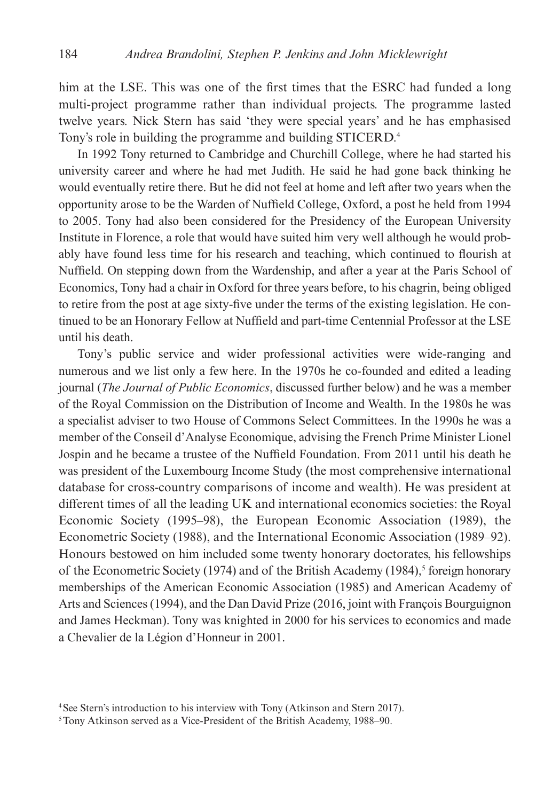him at the LSE. This was one of the first times that the ESRC had funded a long multi-project programme rather than individual projects. The programme lasted twelve years. Nick Stern has said 'they were special years' and he has emphasised Tony's role in building the programme and building STICERD.<sup>4</sup>

In 1992 Tony returned to Cambridge and Churchill College, where he had started his university career and where he had met Judith. He said he had gone back thinking he would eventually retire there. But he did not feel at home and left after two years when the opportunity arose to be the Warden of Nuffield College, Oxford, a post he held from 1994 to 2005. Tony had also been considered for the Presidency of the European University Institute in Florence, a role that would have suited him very well although he would probably have found less time for his research and teaching, which continued to flourish at Nuffield. On stepping down from the Wardenship, and after a year at the Paris School of Economics, Tony had a chair in Oxford for three years before, to his chagrin, being obliged to retire from the post at age sixty-five under the terms of the existing legislation. He continued to be an Honorary Fellow at Nuffield and part-time Centennial Professor at the LSE until his death.

Tony's public service and wider professional activities were wide-ranging and numerous and we list only a few here. In the 1970s he co-founded and edited a leading journal (*The Journal of Public Economics*, discussed further below) and he was a member of the Royal Commission on the Distribution of Income and Wealth. In the 1980s he was a specialist adviser to two House of Commons Select Committees. In the 1990s he was a member of the Conseil d'Analyse Economique, advising the French Prime Minister Lionel Jospin and he became a trustee of the Nuffield Foundation. From 2011 until his death he was president of the Luxembourg Income Study (the most comprehensive international database for cross-country comparisons of income and wealth). He was president at different times of all the leading UK and international economics societies: the Royal Economic Society (1995–98), the European Economic Association (1989), the Econometric Society (1988), and the International Economic Association (1989–92). Honours bestowed on him included some twenty honorary doctorates, his fellowships of the Econometric Society (1974) and of the British Academy (1984),<sup>5</sup> foreign honorary memberships of the American Economic Association (1985) and American Academy of Arts and Sciences (1994), and the Dan David Prize (2016, joint with François Bourguignon and James Heckman). Tony was knighted in 2000 for his services to economics and made a Chevalier de la Légion d'Honneur in 2001.

<sup>4</sup>See Stern's introduction to his interview with Tony (Atkinson and Stern 2017).

<sup>5</sup>Tony Atkinson served as a Vice-President of the British Academy, 1988–90.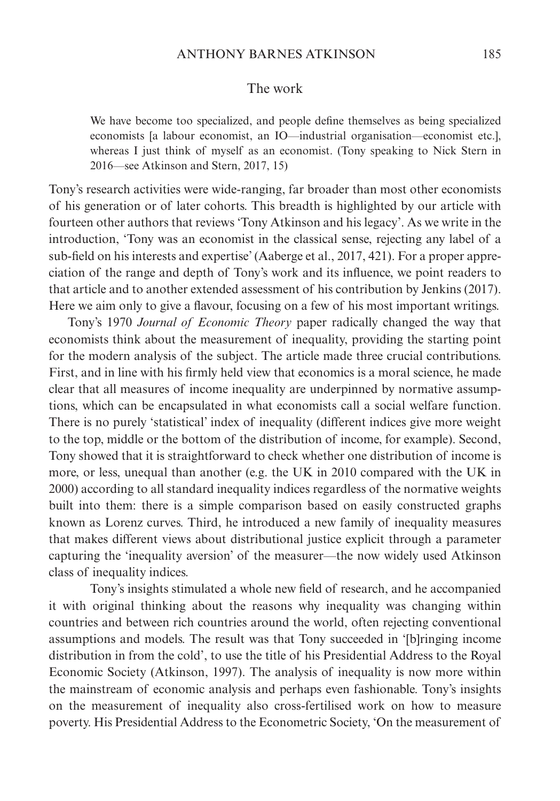#### The work

We have become too specialized, and people define themselves as being specialized economists [a labour economist, an IO—industrial organisation—economist etc.], whereas I just think of myself as an economist. (Tony speaking to Nick Stern in 2016—see Atkinson and Stern, 2017, 15)

Tony's research activities were wide-ranging, far broader than most other economists of his generation or of later cohorts. This breadth is highlighted by our article with fourteen other authors that reviews 'Tony Atkinson and his legacy'. As we write in the introduction, 'Tony was an economist in the classical sense, rejecting any label of a sub-field on his interests and expertise' (Aaberge et al., 2017, 421). For a proper appreciation of the range and depth of Tony's work and its influence, we point readers to that article and to another extended assessment of his contribution by Jenkins (2017). Here we aim only to give a flavour, focusing on a few of his most important writings.

Tony's 1970 *Journal of Economic Theory* paper radically changed the way that economists think about the measurement of inequality, providing the starting point for the modern analysis of the subject. The article made three crucial contributions. First, and in line with his firmly held view that economics is a moral science, he made clear that all measures of income inequality are underpinned by normative assumptions, which can be encapsulated in what economists call a social welfare function. There is no purely 'statistical' index of inequality (different indices give more weight to the top, middle or the bottom of the distribution of income, for example). Second, Tony showed that it is straightforward to check whether one distribution of income is more, or less, unequal than another (e.g. the UK in 2010 compared with the UK in 2000) according to all standard inequality indices regardless of the normative weights built into them: there is a simple comparison based on easily constructed graphs known as Lorenz curves. Third, he introduced a new family of inequality measures that makes different views about distributional justice explicit through a parameter capturing the 'inequality aversion' of the measurer—the now widely used Atkinson class of inequality indices.

Tony's insights stimulated a whole new field of research, and he accompanied it with original thinking about the reasons why inequality was changing within countries and between rich countries around the world, often rejecting conventional assumptions and models. The result was that Tony succeeded in '[b]ringing income distribution in from the cold', to use the title of his Presidential Address to the Royal Economic Society (Atkinson, 1997). The analysis of inequality is now more within the mainstream of economic analysis and perhaps even fashionable. Tony's insights on the measurement of inequality also cross-fertilised work on how to measure poverty. His Presidential Address to the Econometric Society, 'On the measurement of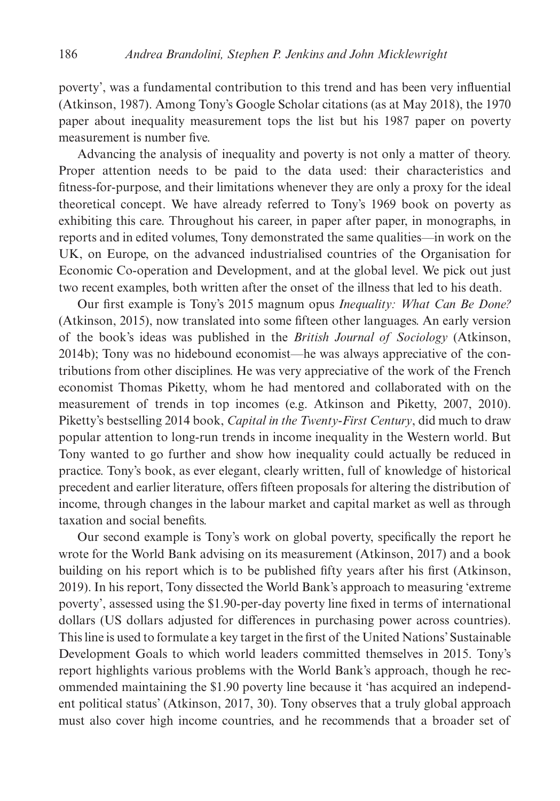poverty', was a fundamental contribution to this trend and has been very influential (Atkinson, 1987). Among Tony's Google Scholar citations (as at May 2018), the 1970 paper about inequality measurement tops the list but his 1987 paper on poverty measurement is number five.

Advancing the analysis of inequality and poverty is not only a matter of theory. Proper attention needs to be paid to the data used: their characteristics and fitness-for-purpose, and their limitations whenever they are only a proxy for the ideal theoretical concept. We have already referred to Tony's 1969 book on poverty as exhibiting this care. Throughout his career, in paper after paper, in monographs, in reports and in edited volumes, Tony demonstrated the same qualities—in work on the UK, on Europe, on the advanced industrialised countries of the Organisation for Economic Co-operation and Development, and at the global level. We pick out just two recent examples, both written after the onset of the illness that led to his death.

Our first example is Tony's 2015 magnum opus *Inequality: What Can Be Done?* (Atkinson, 2015), now translated into some fifteen other languages. An early version of the book's ideas was published in the *British Journal of Sociology* (Atkinson, 2014b); Tony was no hidebound economist—he was always appreciative of the contributions from other disciplines. He was very appreciative of the work of the French economist Thomas Piketty, whom he had mentored and collaborated with on the measurement of trends in top incomes (e.g. Atkinson and Piketty, 2007, 2010). Piketty's bestselling 2014 book, *Capital in the Twenty-First Century*, did much to draw popular attention to long-run trends in income inequality in the Western world. But Tony wanted to go further and show how inequality could actually be reduced in practice. Tony's book, as ever elegant, clearly written, full of knowledge of historical precedent and earlier literature, offers fifteen proposals for altering the distribution of income, through changes in the labour market and capital market as well as through taxation and social benefits.

Our second example is Tony's work on global poverty, specifically the report he wrote for the World Bank advising on its measurement (Atkinson, 2017) and a book building on his report which is to be published fifty years after his first (Atkinson, 2019). In his report, Tony dissected the World Bank's approach to measuring 'extreme poverty', assessed using the \$1.90-per-day poverty line fixed in terms of international dollars (US dollars adjusted for differences in purchasing power across countries). This line is used to formulate a key target in the first of the United Nations' Sustainable Development Goals to which world leaders committed themselves in 2015. Tony's report highlights various problems with the World Bank's approach, though he recommended maintaining the \$1.90 poverty line because it 'has acquired an independent political status' (Atkinson, 2017, 30). Tony observes that a truly global approach must also cover high income countries, and he recommends that a broader set of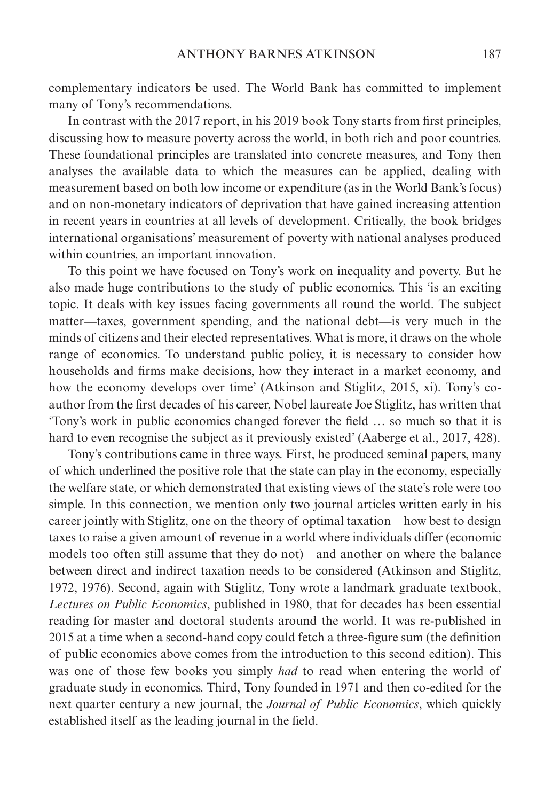complementary indicators be used. The World Bank has committed to implement many of Tony's recommendations.

In contrast with the 2017 report, in his 2019 book Tony starts from first principles, discussing how to measure poverty across the world, in both rich and poor countries. These foundational principles are translated into concrete measures, and Tony then analyses the available data to which the measures can be applied, dealing with measurement based on both low income or expenditure (as in the World Bank's focus) and on non-monetary indicators of deprivation that have gained increasing attention in recent years in countries at all levels of development. Critically, the book bridges international organisations' measurement of poverty with national analyses produced within countries, an important innovation.

To this point we have focused on Tony's work on inequality and poverty. But he also made huge contributions to the study of public economics. This 'is an exciting topic. It deals with key issues facing governments all round the world. The subject matter—taxes, government spending, and the national debt—is very much in the minds of citizens and their elected representatives. What is more, it draws on the whole range of economics. To understand public policy, it is necessary to consider how households and firms make decisions, how they interact in a market economy, and how the economy develops over time' (Atkinson and Stiglitz, 2015, xi). Tony's coauthor from the first decades of his career, Nobel laureate Joe Stiglitz, has written that 'Tony's work in public economics changed forever the field … so much so that it is hard to even recognise the subject as it previously existed' (Aaberge et al., 2017, 428).

Tony's contributions came in three ways. First, he produced seminal papers, many of which underlined the positive role that the state can play in the economy, especially the welfare state, or which demonstrated that existing views of the state's role were too simple. In this connection, we mention only two journal articles written early in his career jointly with Stiglitz, one on the theory of optimal taxation—how best to design taxes to raise a given amount of revenue in a world where individuals differ (economic models too often still assume that they do not)—and another on where the balance between direct and indirect taxation needs to be considered (Atkinson and Stiglitz, 1972, 1976). Second, again with Stiglitz, Tony wrote a landmark graduate textbook, *Lectures on Public Economics*, published in 1980, that for decades has been essential reading for master and doctoral students around the world. It was re-published in 2015 at a time when a second-hand copy could fetch a three-figure sum (the definition of public economics above comes from the introduction to this second edition). This was one of those few books you simply *had* to read when entering the world of graduate study in economics. Third, Tony founded in 1971 and then co-edited for the next quarter century a new journal, the *Journal of Public Economics*, which quickly established itself as the leading journal in the field.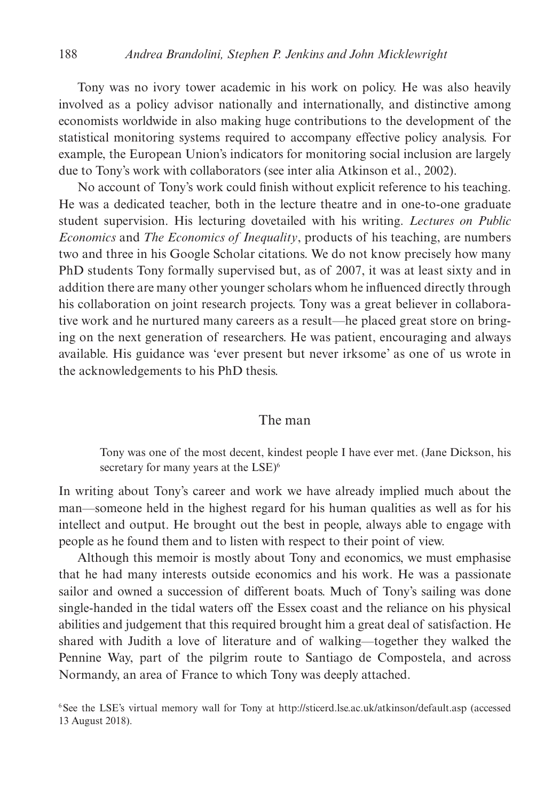Tony was no ivory tower academic in his work on policy. He was also heavily involved as a policy advisor nationally and internationally, and distinctive among economists worldwide in also making huge contributions to the development of the statistical monitoring systems required to accompany effective policy analysis. For example, the European Union's indicators for monitoring social inclusion are largely due to Tony's work with collaborators (see inter alia Atkinson et al., 2002).

No account of Tony's work could finish without explicit reference to his teaching. He was a dedicated teacher, both in the lecture theatre and in one-to-one graduate student supervision. His lecturing dovetailed with his writing. *Lectures on Public Economics* and *The Economics of Inequality*, products of his teaching, are numbers two and three in his Google Scholar citations. We do not know precisely how many PhD students Tony formally supervised but, as of 2007, it was at least sixty and in addition there are many other younger scholars whom he influenced directly through his collaboration on joint research projects. Tony was a great believer in collaborative work and he nurtured many careers as a result—he placed great store on bringing on the next generation of researchers. He was patient, encouraging and always available. His guidance was 'ever present but never irksome' as one of us wrote in the acknowledgements to his PhD thesis.

#### The man

Tony was one of the most decent, kindest people I have ever met. (Jane Dickson, his secretary for many years at the LSE)<sup>6</sup>

In writing about Tony's career and work we have already implied much about the man—someone held in the highest regard for his human qualities as well as for his intellect and output. He brought out the best in people, always able to engage with people as he found them and to listen with respect to their point of view.

Although this memoir is mostly about Tony and economics, we must emphasise that he had many interests outside economics and his work. He was a passionate sailor and owned a succession of different boats. Much of Tony's sailing was done single-handed in the tidal waters off the Essex coast and the reliance on his physical abilities and judgement that this required brought him a great deal of satisfaction. He shared with Judith a love of literature and of walking—together they walked the Pennine Way, part of the pilgrim route to Santiago de Compostela, and across Normandy, an area of France to which Tony was deeply attached.

6See the LSE's virtual memory wall for Tony at http://sticerd.lse.ac.uk/atkinson/default.asp (accessed 13 August 2018).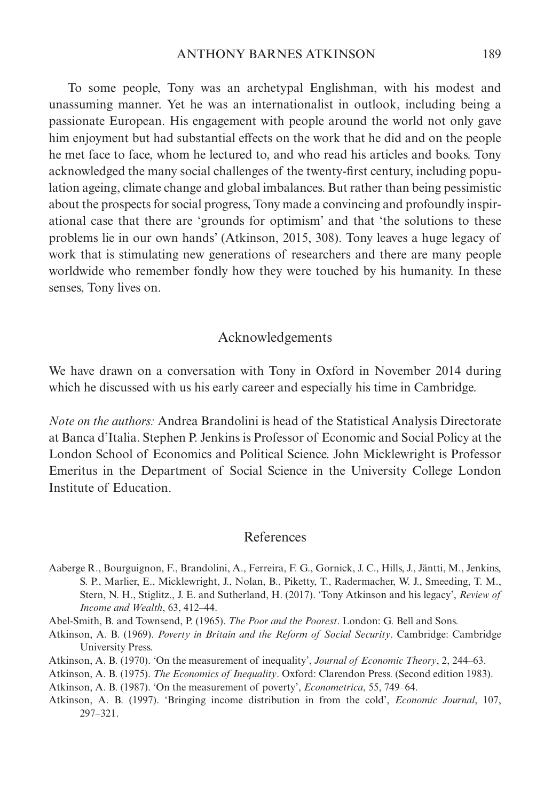To some people, Tony was an archetypal Englishman, with his modest and unassuming manner. Yet he was an internationalist in outlook, including being a passionate European. His engagement with people around the world not only gave him enjoyment but had substantial effects on the work that he did and on the people he met face to face, whom he lectured to, and who read his articles and books. Tony acknowledged the many social challenges of the twenty-first century, including population ageing, climate change and global imbalances. But rather than being pessimistic about the prospects for social progress, Tony made a convincing and profoundly inspirational case that there are 'grounds for optimism' and that 'the solutions to these problems lie in our own hands' (Atkinson, 2015, 308). Tony leaves a huge legacy of work that is stimulating new generations of researchers and there are many people worldwide who remember fondly how they were touched by his humanity. In these senses, Tony lives on.

#### Acknowledgements

We have drawn on a conversation with Tony in Oxford in November 2014 during which he discussed with us his early career and especially his time in Cambridge.

*Note on the authors:* Andrea Brandolini is head of the Statistical Analysis Directorate at Banca d'Italia. Stephen P. Jenkins is Professor of Economic and Social Policy at the London School of Economics and Political Science. John Micklewright is Professor Emeritus in the Department of Social Science in the University College London Institute of Education.

#### References

Aaberge R., Bourguignon, F., Brandolini, A., Ferreira, F. G., Gornick, J. C., Hills, J., Jäntti, M., Jenkins, S. P., Marlier, E., Micklewright, J., Nolan, B., Piketty, T., Radermacher, W. J., Smeeding, T. M., Stern, N. H., Stiglitz., J. E. and Sutherland, H. (2017). 'Tony Atkinson and his legacy', *Review of Income and Wealth*, 63, 412–44.

Abel-Smith, B. and Townsend, P. (1965). *The Poor and the Poorest*. London: G. Bell and Sons.

- Atkinson, A. B. (1969). *Poverty in Britain and the Reform of Social Security*. Cambridge: Cambridge University Press.
- Atkinson, A. B. (1970). 'On the measurement of inequality', *Journal of Economic Theory*, 2, 244–63.

Atkinson, A. B. (1975). *The Economics of Inequality*. Oxford: Clarendon Press. (Second edition 1983).

Atkinson, A. B. (1987). 'On the measurement of poverty', *Econometrica*, 55, 749–64.

Atkinson, A. B. (1997). 'Bringing income distribution in from the cold', *Economic Journal*, 107, 297–321.